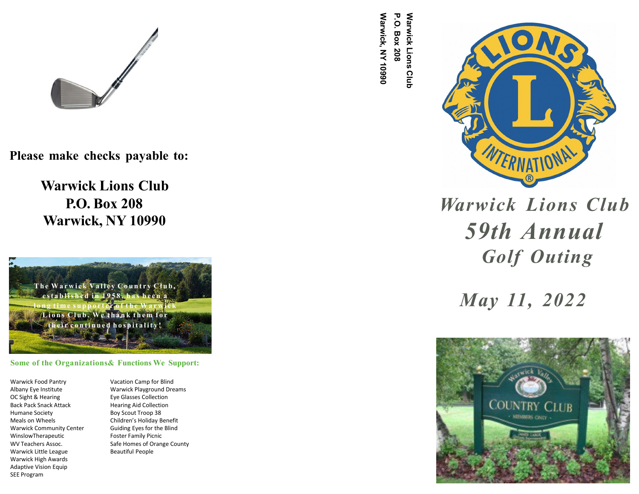

**Please make checks payable to:**

**Warwick Lions Club P.O. Box 208 Warwick, NY 10990**

The Warwick Valley Country Club, **e st a b l is h e d i n 1 9 5 8 , h a s b e e n a** long time supporter of the Warwick **Li o n s C l u b . We t h a n k t h e m f o r t h e i r c o n ti n u e d h o s p it a l it y !**

**Some of the Organizations& Functions We Support:**

Warwick Food Pantry Albany Eye Institute OC Sight & Hearing Back Pack Snack Attack Humane Society Meals on Wheels Warwick Community Center WinslowTherapeutic WV Teachers Assoc. Warwick Little League Warwick High Awards Adaptive Vision Equip SEE Program

Vacation Camp for Blind Warwick Playground Dreams Eye Glasses Collection Hearing Aid Collection Boy Scout Troop 38 Children's Holiday Benefit Guiding Eyes for the Blind Foster Family Picnic Safe Homes of Orange County Beautiful People

**Warwick, NY 10990 P.O. Box 208 Warwick, NY P.O. Box 208 Warwick Lions Club Warwick Lions**



*Warwick Lions Club 59th Annual Golf Outing*

*May 11, 2022*